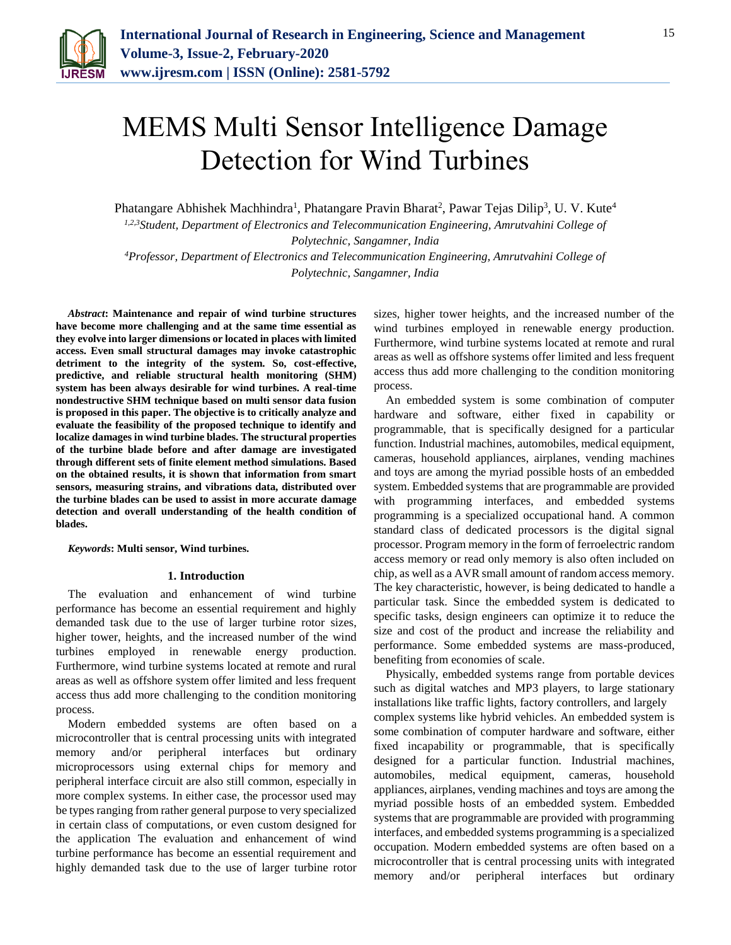

# MEMS Multi Sensor Intelligence Damage Detection for Wind Turbines

Phatangare Abhishek Machhindra<sup>1</sup>, Phatangare Pravin Bharat<sup>2</sup>, Pawar Tejas Dilip<sup>3</sup>, U. V. Kute<sup>4</sup>

*1,2,3Student, Department of Electronics and Telecommunication Engineering, Amrutvahini College of Polytechnic, Sangamner, India*

*<sup>4</sup>Professor, Department of Electronics and Telecommunication Engineering, Amrutvahini College of Polytechnic, Sangamner, India*

*Abstract***: Maintenance and repair of wind turbine structures have become more challenging and at the same time essential as they evolve into larger dimensions or located in places with limited access. Even small structural damages may invoke catastrophic detriment to the integrity of the system. So, cost-effective, predictive, and reliable structural health monitoring (SHM) system has been always desirable for wind turbines. A real-time nondestructive SHM technique based on multi sensor data fusion is proposed in this paper. The objective is to critically analyze and evaluate the feasibility of the proposed technique to identify and localize damages in wind turbine blades. The structural properties of the turbine blade before and after damage are investigated through different sets of finite element method simulations. Based on the obtained results, it is shown that information from smart sensors, measuring strains, and vibrations data, distributed over the turbine blades can be used to assist in more accurate damage detection and overall understanding of the health condition of blades.**

*Keywords***: Multi sensor, Wind turbines.**

#### **1. Introduction**

The evaluation and enhancement of wind turbine performance has become an essential requirement and highly demanded task due to the use of larger turbine rotor sizes, higher tower, heights, and the increased number of the wind turbines employed in renewable energy production. Furthermore, wind turbine systems located at remote and rural areas as well as offshore system offer limited and less frequent access thus add more challenging to the condition monitoring process.

Modern embedded systems are often based on a microcontroller that is central processing units with integrated memory and/or peripheral interfaces but ordinary microprocessors using external chips for memory and peripheral interface circuit are also still common, especially in more complex systems. In either case, the processor used may be types ranging from rather general purpose to very specialized in certain class of computations, or even custom designed for the application The evaluation and enhancement of wind turbine performance has become an essential requirement and highly demanded task due to the use of larger turbine rotor sizes, higher tower heights, and the increased number of the wind turbines employed in renewable energy production. Furthermore, wind turbine systems located at remote and rural areas as well as offshore systems offer limited and less frequent access thus add more challenging to the condition monitoring process.

An embedded system is some combination of computer hardware and software, either fixed in capability or programmable, that is specifically designed for a particular function. Industrial machines, automobiles, medical equipment, cameras, household appliances, airplanes, vending machines and toys are among the myriad possible hosts of an embedded system. Embedded systems that are programmable are provided with programming interfaces, and embedded systems programming is a specialized occupational hand. A common standard class of dedicated processors is the digital signal processor. Program memory in the form of ferroelectric random access memory or read only memory is also often included on chip, as well as a AVR small amount of random access memory. The key characteristic, however, is being dedicated to handle a particular task. Since the embedded system is dedicated to specific tasks, design engineers can optimize it to reduce the size and cost of the product and increase the reliability and performance. Some embedded systems are mass-produced, benefiting from economies of scale.

Physically, embedded systems range from portable devices such as digital watches and MP3 players, to large stationary installations like traffic lights, factory controllers, and largely complex systems like hybrid vehicles. An embedded system is some combination of computer hardware and software, either fixed incapability or programmable, that is specifically designed for a particular function. Industrial machines, automobiles, medical equipment, cameras, household appliances, airplanes, vending machines and toys are among the myriad possible hosts of an embedded system. Embedded systems that are programmable are provided with programming interfaces, and embedded systems programming is a specialized occupation. Modern embedded systems are often based on a microcontroller that is central processing units with integrated memory and/or peripheral interfaces but ordinary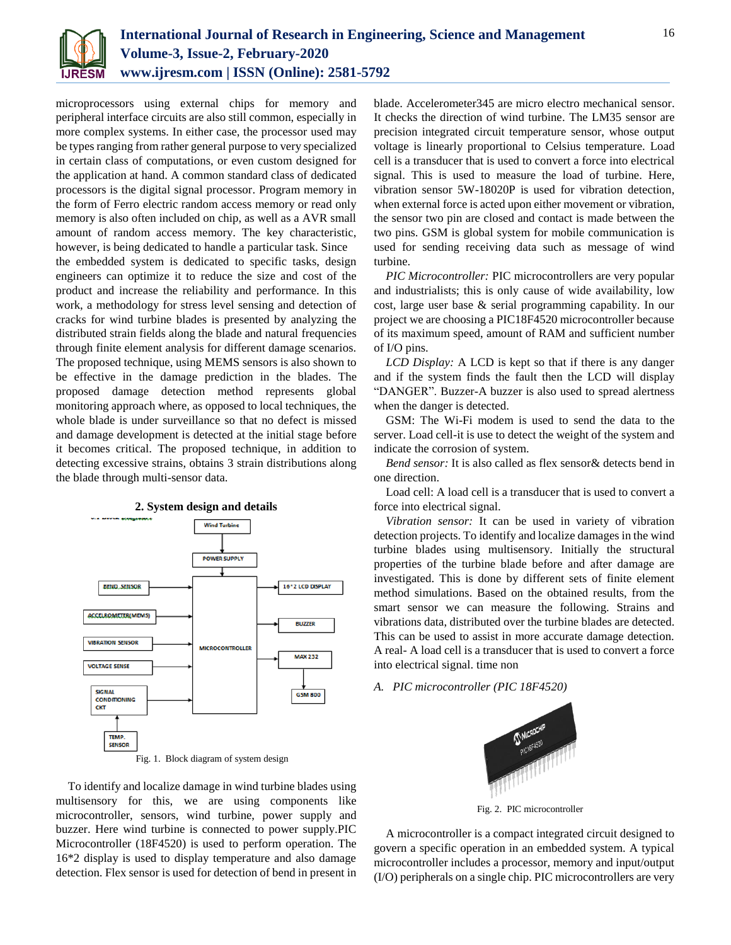

microprocessors using external chips for memory and peripheral interface circuits are also still common, especially in more complex systems. In either case, the processor used may be types ranging from rather general purpose to very specialized in certain class of computations, or even custom designed for the application at hand. A common standard class of dedicated processors is the digital signal processor. Program memory in the form of Ferro electric random access memory or read only memory is also often included on chip, as well as a AVR small amount of random access memory. The key characteristic, however, is being dedicated to handle a particular task. Since the embedded system is dedicated to specific tasks, design engineers can optimize it to reduce the size and cost of the product and increase the reliability and performance. In this work, a methodology for stress level sensing and detection of cracks for wind turbine blades is presented by analyzing the distributed strain fields along the blade and natural frequencies through finite element analysis for different damage scenarios. The proposed technique, using MEMS sensors is also shown to be effective in the damage prediction in the blades. The proposed damage detection method represents global monitoring approach where, as opposed to local techniques, the whole blade is under surveillance so that no defect is missed and damage development is detected at the initial stage before it becomes critical. The proposed technique, in addition to detecting excessive strains, obtains 3 strain distributions along the blade through multi-sensor data.



**2. System design and details**

Fig. 1. Block diagram of system design

To identify and localize damage in wind turbine blades using multisensory for this, we are using components like microcontroller, sensors, wind turbine, power supply and buzzer. Here wind turbine is connected to power supply.PIC Microcontroller (18F4520) is used to perform operation. The 16\*2 display is used to display temperature and also damage detection. Flex sensor is used for detection of bend in present in

blade. Accelerometer345 are micro electro mechanical sensor. It checks the direction of wind turbine. The LM35 sensor are precision integrated circuit temperature sensor, whose output voltage is linearly proportional to Celsius temperature. Load cell is a transducer that is used to convert a force into electrical signal. This is used to measure the load of turbine. Here, vibration sensor 5W-18020P is used for vibration detection, when external force is acted upon either movement or vibration, the sensor two pin are closed and contact is made between the two pins. GSM is global system for mobile communication is used for sending receiving data such as message of wind turbine.

*PIC Microcontroller:* PIC microcontrollers are very popular and industrialists; this is only cause of wide availability, low cost, large user base & serial programming capability. In our project we are choosing a PIC18F4520 microcontroller because of its maximum speed, amount of RAM and sufficient number of I/O pins.

*LCD Display:* A LCD is kept so that if there is any danger and if the system finds the fault then the LCD will display "DANGER". Buzzer-A buzzer is also used to spread alertness when the danger is detected.

GSM: The Wi-Fi modem is used to send the data to the server. Load cell-it is use to detect the weight of the system and indicate the corrosion of system.

*Bend sensor:* It is also called as flex sensor& detects bend in one direction.

Load cell: A load cell is a transducer that is used to convert a force into electrical signal.

*Vibration sensor:* It can be used in variety of vibration detection projects. To identify and localize damages in the wind turbine blades using multisensory. Initially the structural properties of the turbine blade before and after damage are investigated. This is done by different sets of finite element method simulations. Based on the obtained results, from the smart sensor we can measure the following. Strains and vibrations data, distributed over the turbine blades are detected. This can be used to assist in more accurate damage detection. A real- A load cell is a transducer that is used to convert a force into electrical signal. time non

*A. PIC microcontroller (PIC 18F4520)*



Fig. 2. PIC microcontroller

A microcontroller is a compact integrated circuit designed to govern a specific operation in an embedded system. A typical microcontroller includes a processor, memory and input/output (I/O) peripherals on a single chip. PIC microcontrollers are very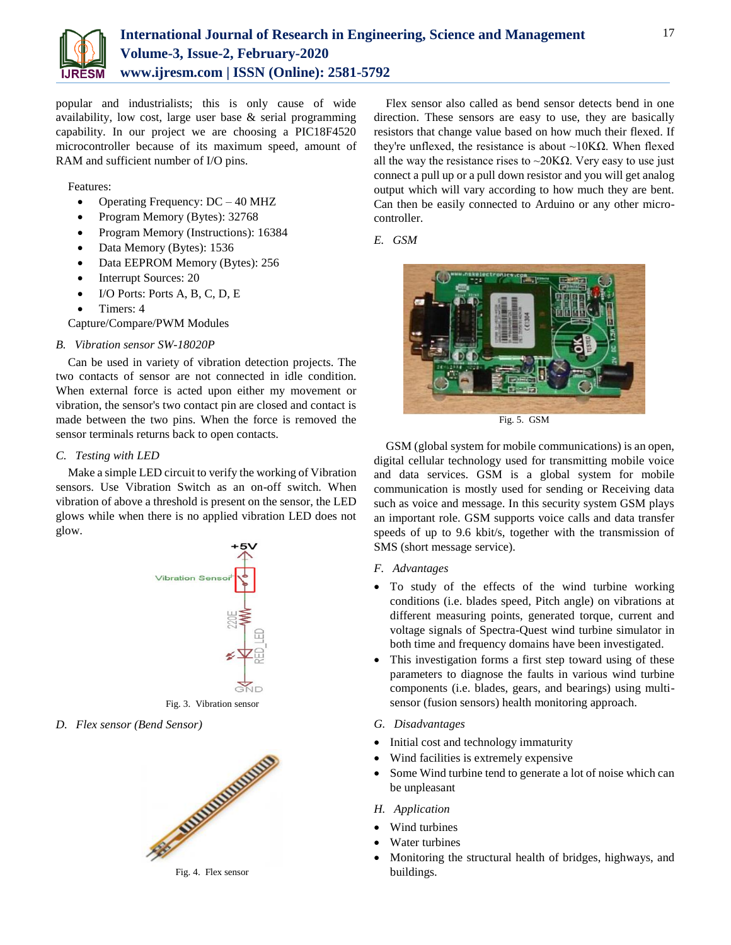

popular and industrialists; this is only cause of wide availability, low cost, large user base & serial programming capability. In our project we are choosing a PIC18F4520 microcontroller because of its maximum speed, amount of RAM and sufficient number of I/O pins.

Features:

- Operating Frequency: DC 40 MHZ
- Program Memory (Bytes): 32768
- Program Memory (Instructions): 16384
- Data Memory (Bytes): 1536
- Data EEPROM Memory (Bytes): 256
- Interrupt Sources: 20
- $\bullet$  I/O Ports: Ports A, B, C, D, E
- Timers: 4

Capture/Compare/PWM Modules

## *B. Vibration sensor SW-18020P*

Can be used in variety of vibration detection projects. The two contacts of sensor are not connected in idle condition. When external force is acted upon either my movement or vibration, the sensor's two contact pin are closed and contact is made between the two pins. When the force is removed the sensor terminals returns back to open contacts.

## *C. Testing with LED*

Make a simple LED circuit to verify the working of Vibration sensors. Use Vibration Switch as an on-off switch. When vibration of above a threshold is present on the sensor, the LED glows while when there is no applied vibration LED does not glow.



Fig. 3. Vibration sensor

*D. Flex sensor (Bend Sensor)*



Flex sensor also called as bend sensor detects bend in one direction. These sensors are easy to use, they are basically resistors that change value based on how much their flexed. If they're unflexed, the resistance is about ~10KΩ. When flexed all the way the resistance rises to  $\sim$ 20K $\Omega$ . Very easy to use just connect a pull up or a pull down resistor and you will get analog output which will vary according to how much they are bent. Can then be easily connected to Arduino or any other microcontroller.

## *E. GSM*



Fig. 5. GSM

GSM (global system for mobile communications) is an open, digital cellular technology used for transmitting mobile voice and data services. GSM is a global system for mobile communication is mostly used for sending or Receiving data such as voice and message. In this security system GSM plays an important role. GSM supports voice calls and data transfer speeds of up to 9.6 kbit/s, together with the transmission of SMS (short message service).

- *F. Advantages*
- To study of the effects of the wind turbine working conditions (i.e. blades speed, Pitch angle) on vibrations at different measuring points, generated torque, current and voltage signals of Spectra-Quest wind turbine simulator in both time and frequency domains have been investigated.
- This investigation forms a first step toward using of these parameters to diagnose the faults in various wind turbine components (i.e. blades, gears, and bearings) using multisensor (fusion sensors) health monitoring approach.
- *G. Disadvantages*
- Initial cost and technology immaturity
- Wind facilities is extremely expensive
- Some Wind turbine tend to generate a lot of noise which can be unpleasant
- *H. Application*
- Wind turbines
- Water turbines
- Monitoring the structural health of bridges, highways, and buildings.